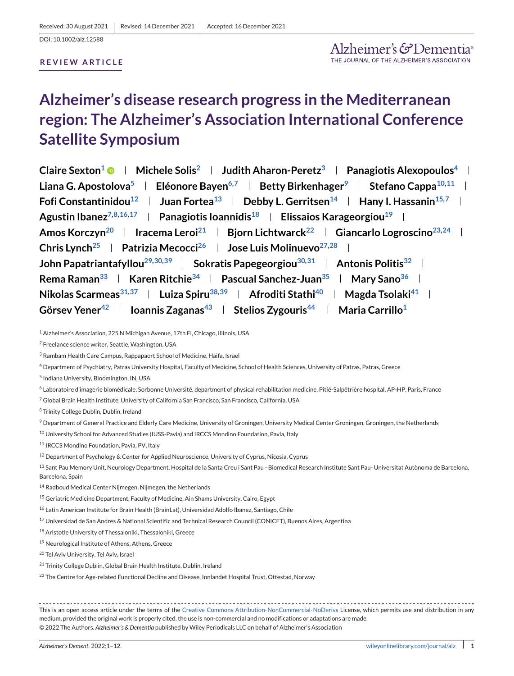## **Alzheimer's disease research progress in the Mediterranean region: The Alzheimer's Association International Conference Satellite Symposium**

**Claire Sexton<sup>1</sup> <b>Michele Solis**<sup>2</sup> **Judith Aharon-Peretz**<sup>3</sup> **Panagiotis Alexopoulos**<sup>4</sup> l **Liana G. Apostolova<sup>5</sup> | Eléonore Bayen<sup>6,7</sup> | Betty Birkenhager<sup>9</sup> | Stefano Cappa<sup>10,11</sup> | Fofi Constantinidou**<sup>12</sup> **Juan Fortea**<sup>13</sup> **Debby L. Gerritsen**<sup>14</sup> **Hany I. Hassanin**<sup>15,7</sup> **I** Agustin Ibanez<sup>7,8,16,17</sup> | Panagiotis Ioannidis<sup>18</sup> | Elissaios Karageorgiou<sup>19</sup> | Amos Korczyn<sup>20</sup> | Iracema Leroi<sup>21</sup> | Bjorn Lichtwarck<sup>22</sup> | Giancarlo Logroscino<sup>23[,24](#page-1-0)</sup> | **Chris Lync[h25](#page-1-0) Patrizia Mecocc[i26](#page-1-0) Jose Luis Molinuev[o27,28](#page-1-0) John Papatriantafyllou<sup>29,30,39</sup> | Sokratis Papegeorgiou<sup>30,31</sup> | Antonis Politis<sup>32</sup> | Rema Raman**<sup>33</sup> **Karen Ritchie**<sup>34</sup> **Pascual Sanchez-Juan**<sup>35</sup> **Mary Sano**<sup>36</sup> **I Nikolas Scarmeas**<sup>31,37</sup> **Luiza Spiru<sup>38,39</sup> Afroditi Stathi<sup>40</sup> | Magda Tsolaki<sup>41</sup> |** Görsev Yener<sup>42</sup> **I** Ioannis Zaganas<sup>43</sup> **I** Stelios Zygouris<sup>44</sup> **I** Maria Carrillo<sup>1</sup>

<sup>1</sup> Alzheimer's Association, 225 N Michigan Avenue, 17th Fl, Chicago, Illinois, USA

<sup>2</sup> Freelance science writer, Seattle, Washington, USA

<sup>4</sup> Department of Psychiatry, Patras University Hospital, Faculty of Medicine, School of Health Sciences, University of Patras, Patras, Greece

- <sup>5</sup> Indiana University, Bloomington, IN, USA
- <sup>6</sup> Laboratoire d'imagerie biomédicale, Sorbonne Université, department of physical rehabilitation medicine, Pitié-Salpêtrière hospital, AP-HP, Paris, France

 $^7$  Global Brain Health Institute, University of California San Francisco, San Francisco, California, USA

<sup>8</sup> Trinity College Dublin, Dublin, Ireland

<sup>9</sup> Department of General Practice and Elderly Care Medicine, University of Groningen, University Medical Center Groningen, Groningen, the Netherlands

<sup>10</sup> University School for Advanced Studies (IUSS-Pavia) and IRCCS Mondino Foundation, Pavia, Italy

11 IRCCS Mondino Foundation, Pavia, PV, Italy

<sup>12</sup> Department of Psychology & Center for Applied Neuroscience, University of Cyprus, Nicosia, Cyprus

<sup>13</sup> Sant Pau Memory Unit, Neurology Department, Hospital de la Santa Creu i Sant Pau - Biomedical Research Institute Sant Pau- Universitat Autònoma de Barcelona, Barcelona, Spain

<sup>14</sup> Radboud Medical Center Nijmegen, Nijmegen, the Netherlands

<sup>15</sup> Geriatric Medicine Department, Faculty of Medicine, Ain Shams University, Cairo, Egypt

<sup>16</sup> Latin American Institute for Brain Health (BrainLat), Universidad Adolfo Ibanez, Santiago, Chile

<sup>17</sup> Universidad de San Andres & National Scientific and Technical Research Council (CONICET), Buenos Aires, Argentina

<sup>18</sup> Aristotle University of Thessaloniki, Thessaloniki, Greece

<sup>19</sup> Neurological Institute of Athens, Athens, Greece

<sup>20</sup> Tel Aviv University, Tel Aviv, Israel

<sup>21</sup> Trinity College Dublin, Global Brain Health Institute, Dublin, Ireland

<sup>22</sup> The Centre for Age-related Functional Decline and Disease, Innlandet Hospital Trust, Ottestad, Norway

This is an open access article under the terms of the [Creative Commons Attribution-NonCommercial-NoDerivs](http://creativecommons.org/licenses/by-nc-nd/4.0/) License, which permits use and distribution in any medium, provided the original work is properly cited, the use is non-commercial and no modifications or adaptations are made. © 2022 The Authors. *Alzheimer's & Dementia* published by Wiley Periodicals LLC on behalf of Alzheimer's Association

<sup>3</sup> Rambam Health Care Campus, Rappapaort School of Medicine, Haifa, Israel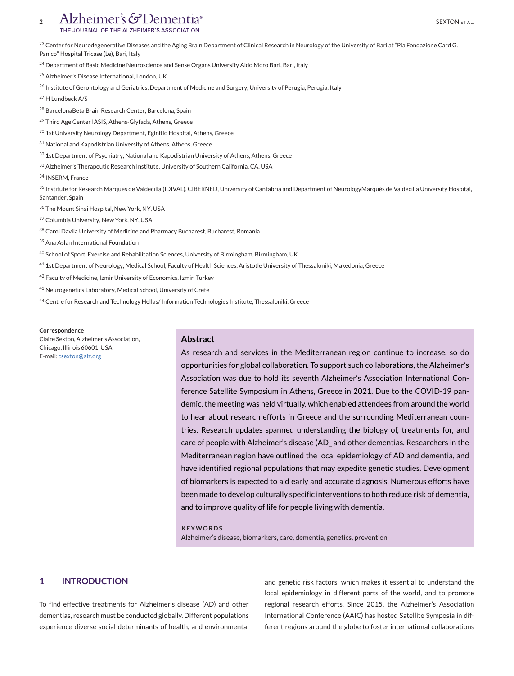<span id="page-1-0"></span><sup>23</sup> Center for Neurodegenerative Diseases and the Aging Brain Department of Clinical Research in Neurology of the University of Bari at "Pia Fondazione Card G.

Panico" Hospital Tricase (Le), Bari, Italy

<sup>24</sup> Department of Basic Medicine Neuroscience and Sense Organs University Aldo Moro Bari, Bari, Italy

<sup>25</sup> Alzheimer's Disease International, London, UK

<sup>26</sup> Institute of Gerontology and Geriatrics, Department of Medicine and Surgery, University of Perugia, Perugia, Italy

<sup>27</sup> H Lundbeck A/S

<sup>28</sup> BarcelonaBeta Brain Research Center, Barcelona, Spain

<sup>29</sup> Third Age Center IASIS, Athens-Glyfada, Athens, Greece

<sup>30</sup> 1st University Neurology Department, Eginitio Hospital, Athens, Greece

<sup>31</sup> National and Kapodistrian University of Athens, Athens, Greece

32 1st Department of Psychiatry, National and Kapodistrian University of Athens, Athens, Greece

<sup>33</sup> Alzheimer's Therapeutic Research Institute, University of Southern California, CA, USA

<sup>34</sup> INSERM, France

<sup>35</sup> Institute for Research Marqués de Valdecilla (IDIVAL), CIBERNED, University of Cantabria and Department of NeurologyMarqués de Valdecilla University Hospital, Santander, Spain

<sup>36</sup> The Mount Sinai Hospital, New York, NY, USA

<sup>37</sup> Columbia University, New York, NY, USA

38 Carol Davila University of Medicine and Pharmacy Bucharest, Bucharest, Romania

<sup>39</sup> Ana Aslan International Foundation

<sup>40</sup> School of Sport, Exercise and Rehabilitation Sciences, University of Birmingham, Birmingham, UK

41 1st Department of Neurology, Medical School, Faculty of Health Sciences, Aristotle University of Thessaloniki, Makedonia, Greece

42 Faculty of Medicine, Izmir University of Economics, Izmir, Turkey

<sup>43</sup> Neurogenetics Laboratory, Medical School, University of Crete

44 Centre for Research and Technology Hellas/Information Technologies Institute, Thessaloniki, Greece

#### **Correspondence**

Claire Sexton, Alzheimer's Association, Chicago, Illinois 60601, USA E-mail: [csexton@alz.org](mailto:csexton@alz.org)

### **Abstract**

As research and services in the Mediterranean region continue to increase, so do opportunities for global collaboration. To support such collaborations, the Alzheimer's Association was due to hold its seventh Alzheimer's Association International Conference Satellite Symposium in Athens, Greece in 2021. Due to the COVID-19 pandemic, the meeting was held virtually, which enabled attendees from around the world to hear about research efforts in Greece and the surrounding Mediterranean countries. Research updates spanned understanding the biology of, treatments for, and care of people with Alzheimer's disease (AD\_ and other dementias. Researchers in the Mediterranean region have outlined the local epidemiology of AD and dementia, and have identified regional populations that may expedite genetic studies. Development of biomarkers is expected to aid early and accurate diagnosis. Numerous efforts have been made to develop culturally specific interventions to both reduce risk of dementia, and to improve quality of life for people living with dementia.

**KEYWORDS** Alzheimer's disease, biomarkers, care, dementia, genetics, prevention

## **1 INTRODUCTION**

To find effective treatments for Alzheimer's disease (AD) and other dementias, research must be conducted globally. Different populations experience diverse social determinants of health, and environmental

and genetic risk factors, which makes it essential to understand the local epidemiology in different parts of the world, and to promote regional research efforts. Since 2015, the Alzheimer's Association International Conference (AAIC) has hosted Satellite Symposia in different regions around the globe to foster international collaborations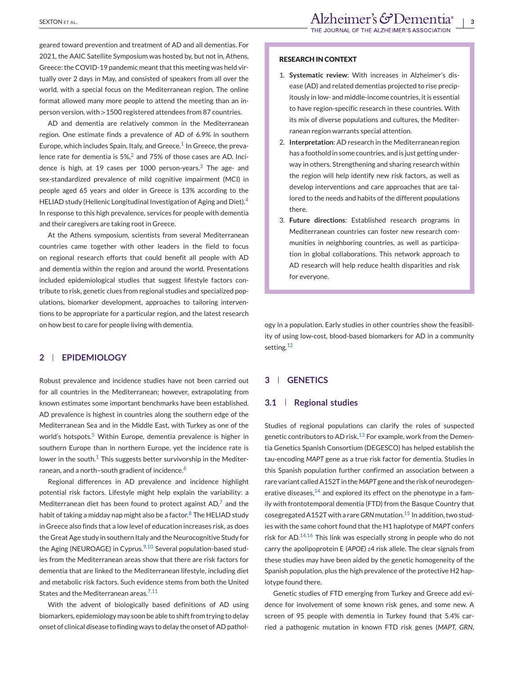geared toward prevention and treatment of AD and all dementias. For 2021, the AAIC Satellite Symposium was hosted by, but not in, Athens, Greece: the COVID-19 pandemic meant that this meeting was held virtually over 2 days in May, and consisted of speakers from all over the world, with a special focus on the Mediterranean region. The online format allowed many more people to attend the meeting than an inperson version, with >1500 registered attendees from 87 countries.

AD and dementia are relatively common in the Mediterranean region. One estimate finds a prevalence of AD of 6.9% in southern Europe, which includes Spain, Italy, and Greece.<sup>[1](#page-9-0)</sup> In Greece, the preva-lence rate for dementia is 5%,<sup>[2](#page-9-0)</sup> and 75% of those cases are AD. Incidence is high, at 19 cases per 1000 person-years. $3$  The age- and sex-standardized prevalence of mild cognitive impairment (MCI) in people aged 65 years and older in Greece is 13% according to the HELIAD study (Hellenic Longitudinal Investigation of Aging and Diet).<sup>[4](#page-9-0)</sup> In response to this high prevalence, services for people with dementia and their caregivers are taking root in Greece.

At the Athens symposium, scientists from several Mediterranean countries came together with other leaders in the field to focus on regional research efforts that could benefit all people with AD and dementia within the region and around the world. Presentations included epidemiological studies that suggest lifestyle factors contribute to risk, genetic clues from regional studies and specialized populations, biomarker development, approaches to tailoring interventions to be appropriate for a particular region, and the latest research on how best to care for people living with dementia.

## **2 EPIDEMIOLOGY**

Robust prevalence and incidence studies have not been carried out for all countries in the Mediterranean; however, extrapolating from known estimates some important benchmarks have been established. AD prevalence is highest in countries along the southern edge of the Mediterranean Sea and in the Middle East, with Turkey as one of the world's hotspots.<sup>[5](#page-9-0)</sup> Within Europe, dementia prevalence is higher in southern Europe than in northern Europe, yet the incidence rate is lower in the south.<sup>[1](#page-9-0)</sup> This suggests better survivorship in the Mediter-ranean, and a north–south gradient of incidence.<sup>[6](#page-9-0)</sup>

Regional differences in AD prevalence and incidence highlight potential risk factors. Lifestyle might help explain the variability: a Mediterranean diet has been found to protect against  $AD<sub>1</sub><sup>7</sup>$  $AD<sub>1</sub><sup>7</sup>$  $AD<sub>1</sub><sup>7</sup>$  and the habit of taking a midday nap might also be a factor.<sup>[8](#page-9-0)</sup> The HELIAD study in Greece also finds that a low level of education increases risk, as does the Great Age study in southern Italy and the Neurocognitive Study for the Aging (NEUROAGE) in Cyprus. $9,10$  Several population-based studies from the Mediterranean areas show that there are risk factors for dementia that are linked to the Mediterranean lifestyle, including diet and metabolic risk factors. Such evidence stems from both the United States and the Mediterranean areas.<sup>[7,11](#page-9-0)</sup>

With the advent of biologically based definitions of AD using biomarkers, epidemiology may soon be able to shift from trying to delay onset of clinical disease to finding ways to delay the onset of AD pathol-

#### **RESEARCH IN CONTEXT**

- 1. **Systematic review**: With increases in Alzheimer's disease (AD) and related dementias projected to rise precipitously in low- and middle-income countries, it is essential to have region-specific research in these countries. With its mix of diverse populations and cultures, the Mediterranean region warrants special attention.
- 2. **Interpretation**: AD research in the Mediterranean region has a foothold in some countries, and is just getting underway in others. Strengthening and sharing research within the region will help identify new risk factors, as well as develop interventions and care approaches that are tailored to the needs and habits of the different populations there.
- 3. **Future directions**: Established research programs in Mediterranean countries can foster new research communities in neighboring countries, as well as participation in global collaborations. This network approach to AD research will help reduce health disparities and risk for everyone.

ogy in a population. Early studies in other countries show the feasibility of using low-cost, blood-based biomarkers for AD in a community setting.<sup>[12](#page-9-0)</sup>

## **3 GENETICS**

### **3.1 Regional studies**

Studies of regional populations can clarify the roles of suspected genetic contributors to AD risk.<sup>[13](#page-9-0)</sup> For example, work from the Dementia Genetics Spanish Consortium (DEGESCO) has helped establish the tau-encoding *MAPT* gene as a true risk factor for dementia. Studies in this Spanish population further confirmed an association between a rare variant called A152T in the *MAPT* gene and the risk of neurodegenerative diseases, $14$  and explored its effect on the phenotype in a family with frontotemporal dementia (FTD) from the Basque Country that cosegregated A152T with a rare*GRN* mutation.[15](#page-9-0) In addition, two studies with the same cohort found that the H1 haplotype of *MAPT* confers risk for AD.[14,16](#page-9-0) This link was especially strong in people who do not carry the apolipoprotein E (*APOE*) *ε*4 risk allele. The clear signals from these studies may have been aided by the genetic homogeneity of the Spanish population, plus the high prevalence of the protective H2 haplotype found there.

Genetic studies of FTD emerging from Turkey and Greece add evidence for involvement of some known risk genes, and some new. A screen of 95 people with dementia in Turkey found that 5.4% carried a pathogenic mutation in known FTD risk genes (*MAPT, GRN*,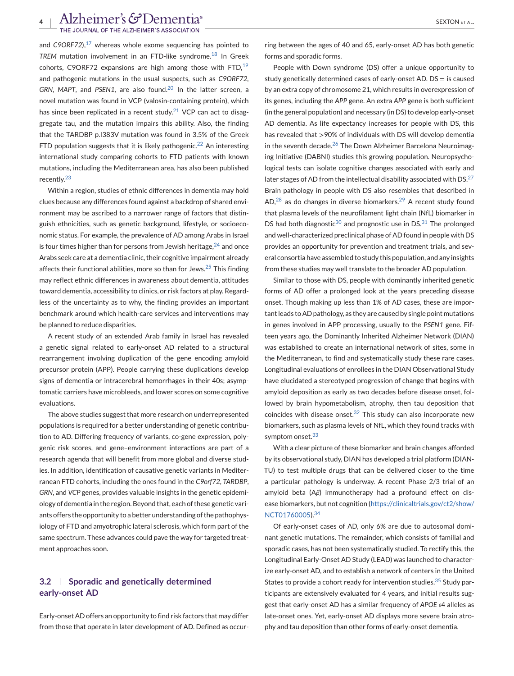and *C9ORF72*).<sup>[17](#page-9-0)</sup> whereas whole exome sequencing has pointed to *TREM* mutation involvement in an FTD-like syndrome.[18](#page-9-0) In Greek cohorts, C9ORF72 expansions are high among those with FTD, $19$ and pathogenic mutations in the usual suspects, such as *C9ORF72,* GRN, MAPT, and PSEN1, are also found.<sup>[20](#page-9-0)</sup> In the latter screen, a novel mutation was found in VCP (valosin-containing protein), which has since been replicated in a recent study.<sup>[21](#page-9-0)</sup> VCP can act to disaggregate tau, and the mutation impairs this ability. Also, the finding that the TARDBP p.I383V mutation was found in 3.5% of the Greek FTD population suggests that it is likely pathogenic.<sup>[22](#page-9-0)</sup> An interesting international study comparing cohorts to FTD patients with known mutations, including the Mediterranean area, has also been published recently.[23](#page-9-0)

Within a region, studies of ethnic differences in dementia may hold clues because any differences found against a backdrop of shared environment may be ascribed to a narrower range of factors that distinguish ethnicities, such as genetic background, lifestyle, or socioeconomic status. For example, the prevalence of AD among Arabs in Israel is four times higher than for persons from Jewish heritage, $24$  and once Arabs seek care at a dementia clinic, their cognitive impairment already affects their functional abilities, more so than for Jews. $25$  This finding may reflect ethnic differences in awareness about dementia, attitudes toward dementia, accessibility to clinics, or risk factors at play. Regardless of the uncertainty as to why, the finding provides an important benchmark around which health-care services and interventions may be planned to reduce disparities.

A recent study of an extended Arab family in Israel has revealed a genetic signal related to early-onset AD related to a structural rearrangement involving duplication of the gene encoding amyloid precursor protein (APP). People carrying these duplications develop signs of dementia or intracerebral hemorrhages in their 40s; asymptomatic carriers have microbleeds, and lower scores on some cognitive evaluations.

The above studies suggest that more research on underrepresented populations is required for a better understanding of genetic contribution to AD. Differing frequency of variants, co-gene expression, polygenic risk scores, and gene–environment interactions are part of a research agenda that will benefit from more global and diverse studies. In addition, identification of causative genetic variants in Mediterranean FTD cohorts, including the ones found in the *C9orf72*, *TARDBP*, *GRN*, and *VCP* genes, provides valuable insights in the genetic epidemiology of dementia in the region. Beyond that, each of these genetic variants offers the opportunity to a better understanding of the pathophysiology of FTD and amyotrophic lateral sclerosis, which form part of the same spectrum. These advances could pave the way for targeted treatment approaches soon.

## **3.2 Sporadic and genetically determined early-onset AD**

Early-onset AD offers an opportunity to find risk factors that may differ from those that operate in later development of AD. Defined as occur-

People with Down syndrome (DS) offer a unique opportunity to study genetically determined cases of early-onset AD. DS = is caused by an extra copy of chromosome 21, which results in overexpression of its genes, including the *APP* gene. An extra *APP* gene is both sufficient (in the general population) and necessary (in DS) to develop early-onset AD dementia. As life expectancy increases for people with DS, this has revealed that >90% of individuals with DS will develop dementia in the seventh decade. $26$  The Down Alzheimer Barcelona Neuroimaging Initiative (DABNI) studies this growing population. Neuropsychological tests can isolate cognitive changes associated with early and later stages of AD from the intellectual disability associated with DS. $27$ Brain pathology in people with DS also resembles that described in  $AD<sub>1</sub><sup>28</sup>$  $AD<sub>1</sub><sup>28</sup>$  $AD<sub>1</sub><sup>28</sup>$  as do changes in diverse biomarkers.<sup>[29](#page-9-0)</sup> A recent study found that plasma levels of the neurofilament light chain (NfL) biomarker in DS had both diagnostic $30$  and prognostic use in DS. $31$  The prolonged and well-characterized preclinical phase of AD found in people with DS provides an opportunity for prevention and treatment trials, and several consortia have assembled to study this population, and any insights from these studies may well translate to the broader AD population.

Similar to those with DS, people with dominantly inherited genetic forms of AD offer a prolonged look at the years preceding disease onset. Though making up less than 1% of AD cases, these are important leads to AD pathology, as they are caused by single point mutations in genes involved in APP processing, usually to the *PSEN1* gene. Fifteen years ago, the Dominantly Inherited Alzheimer Network (DIAN) was established to create an international network of sites, some in the Mediterranean, to find and systematically study these rare cases. Longitudinal evaluations of enrollees in the DIAN Observational Study have elucidated a stereotyped progression of change that begins with amyloid deposition as early as two decades before disease onset, followed by brain hypometabolism, atrophy, then tau deposition that coincides with disease onset. $32$  This study can also incorporate new biomarkers, such as plasma levels of NfL, which they found tracks with symptom onset.<sup>[33](#page-10-0)</sup>

With a clear picture of these biomarker and brain changes afforded by its observational study, DIAN has developed a trial platform (DIAN-TU) to test multiple drugs that can be delivered closer to the time a particular pathology is underway. A recent Phase 2/3 trial of an amyloid beta (Aβ) immunotherapy had a profound effect on disease biomarkers, but not cognition [\(https://clinicaltrials.gov/ct2/show/](https://clinicaltrials.gov/ct2/show/NCT01760005) [NCT01760005\)](https://clinicaltrials.gov/ct2/show/NCT01760005).[34](#page-10-0)

Of early-onset cases of AD, only 6% are due to autosomal dominant genetic mutations. The remainder, which consists of familial and sporadic cases, has not been systematically studied. To rectify this, the Longitudinal Early-Onset AD Study (LEAD) was launched to characterize early-onset AD, and to establish a network of centers in the United States to provide a cohort ready for intervention studies.<sup>[35](#page-10-0)</sup> Study participants are extensively evaluated for 4 years, and initial results suggest that early-onset AD has a similar frequency of *APOE ε*4 alleles as late-onset ones. Yet, early-onset AD displays more severe brain atrophy and tau deposition than other forms of early-onset dementia.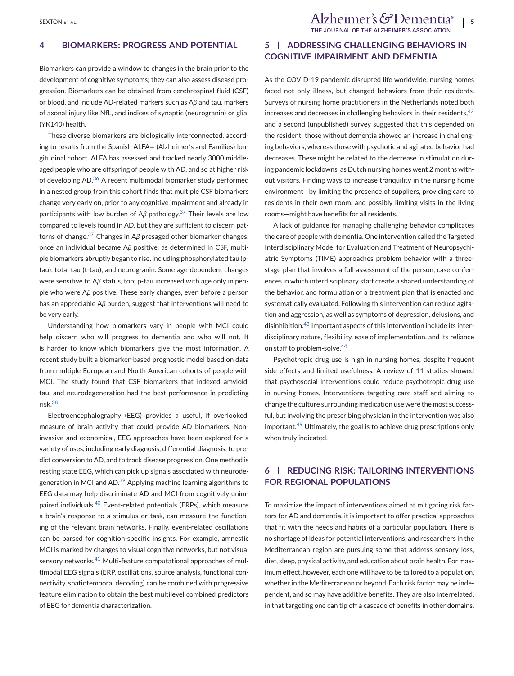## **4 BIOMARKERS: PROGRESS AND POTENTIAL**

Biomarkers can provide a window to changes in the brain prior to the development of cognitive symptoms; they can also assess disease progression. Biomarkers can be obtained from cerebrospinal fluid (CSF) or blood, and include AD-related markers such as A*β* and tau, markers of axonal injury like NfL, and indices of synaptic (neurogranin) or glial (YK140) health.

These diverse biomarkers are biologically interconnected, according to results from the Spanish ALFA+ (Alzheimer's and Families) longitudinal cohort. ALFA has assessed and tracked nearly 3000 middleaged people who are offspring of people with AD, and so at higher risk of developing AD.<sup>[36](#page-10-0)</sup> A recent multimodal biomarker study performed in a nested group from this cohort finds that multiple CSF biomarkers change very early on, prior to any cognitive impairment and already in participants with low burden of A*β* pathology.[37](#page-10-0) Their levels are low compared to levels found in AD, but they are sufficient to discern patterns of change.[37](#page-10-0) Changes in A*β* presaged other biomarker changes: once an individual became A*β* positive, as determined in CSF, multiple biomarkers abruptly began to rise, including phosphorylated tau (ptau), total tau (t-tau), and neurogranin. Some age-dependent changes were sensitive to A*β* status, too: p-tau increased with age only in people who were A*β* positive. These early changes, even before a person has an appreciable A*β* burden, suggest that interventions will need to be very early.

Understanding how biomarkers vary in people with MCI could help discern who will progress to dementia and who will not. It is harder to know which biomarkers give the most information. A recent study built a biomarker-based prognostic model based on data from multiple European and North American cohorts of people with MCI. The study found that CSF biomarkers that indexed amyloid, tau, and neurodegeneration had the best performance in predicting risk.[38](#page-10-0)

Electroencephalography (EEG) provides a useful, if overlooked, measure of brain activity that could provide AD biomarkers. Noninvasive and economical, EEG approaches have been explored for a variety of uses, including early diagnosis, differential diagnosis, to predict conversion to AD, and to track disease progression. One method is resting state EEG, which can pick up signals associated with neurode-generation in MCI and AD.<sup>[39](#page-10-0)</sup> Applying machine learning algorithms to EEG data may help discriminate AD and MCI from cognitively unim-paired individuals.<sup>[40](#page-10-0)</sup> Event-related potentials (ERPs), which measure a brain's response to a stimulus or task, can measure the functioning of the relevant brain networks. Finally, event-related oscillations can be parsed for cognition-specific insights. For example, amnestic MCI is marked by changes to visual cognitive networks, but not visual sensory networks.<sup>[41](#page-10-0)</sup> Multi-feature computational approaches of multimodal EEG signals (ERP, oscillations, source analysis, functional connectivity, spatiotemporal decoding) can be combined with progressive feature elimination to obtain the best multilevel combined predictors of EEG for dementia characterization.

## **5 ADDRESSING CHALLENGING BEHAVIORS IN COGNITIVE IMPAIRMENT AND DEMENTIA**

As the COVID-19 pandemic disrupted life worldwide, nursing homes faced not only illness, but changed behaviors from their residents. Surveys of nursing home practitioners in the Netherlands noted both increases and decreases in challenging behaviors in their residents,  $42$ and a second (unpublished) survey suggested that this depended on the resident: those without dementia showed an increase in challenging behaviors, whereas those with psychotic and agitated behavior had decreases. These might be related to the decrease in stimulation during pandemic lockdowns, as Dutch nursing homes went 2 months without visitors. Finding ways to increase tranquility in the nursing home environment—by limiting the presence of suppliers, providing care to residents in their own room, and possibly limiting visits in the living rooms—might have benefits for all residents.

A lack of guidance for managing challenging behavior complicates the care of people with dementia. One intervention called the Targeted Interdisciplinary Model for Evaluation and Treatment of Neuropsychiatric Symptoms (TIME) approaches problem behavior with a threestage plan that involves a full assessment of the person, case conferences in which interdisciplinary staff create a shared understanding of the behavior, and formulation of a treatment plan that is enacted and systematically evaluated. Following this intervention can reduce agitation and aggression, as well as symptoms of depression, delusions, and disinhibition.[43](#page-10-0) Important aspects of this intervention include its interdisciplinary nature, flexibility, ease of implementation, and its reliance on staff to problem-solve.<sup>[44](#page-10-0)</sup>

Psychotropic drug use is high in nursing homes, despite frequent side effects and limited usefulness. A review of 11 studies showed that psychosocial interventions could reduce psychotropic drug use in nursing homes. Interventions targeting care staff and aiming to change the culture surrounding medication use were the most successful, but involving the prescribing physician in the intervention was also important.<sup>[45](#page-10-0)</sup> Ultimately, the goal is to achieve drug prescriptions only when truly indicated.

## **6 REDUCING RISK: TAILORING INTERVENTIONS FOR REGIONAL POPULATIONS**

To maximize the impact of interventions aimed at mitigating risk factors for AD and dementia, it is important to offer practical approaches that fit with the needs and habits of a particular population. There is no shortage of ideas for potential interventions, and researchers in the Mediterranean region are pursuing some that address sensory loss, diet, sleep, physical activity, and education about brain health. For maximum effect, however, each one will have to be tailored to a population, whether in the Mediterranean or beyond. Each risk factor may be independent, and so may have additive benefits. They are also interrelated, in that targeting one can tip off a cascade of benefits in other domains.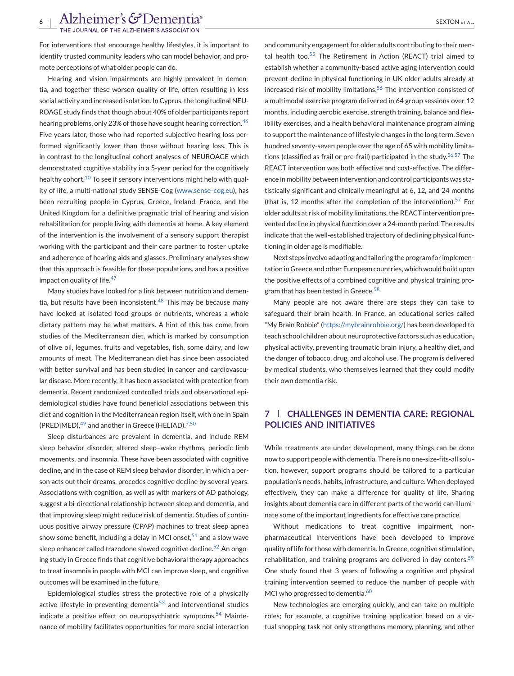For interventions that encourage healthy lifestyles, it is important to identify trusted community leaders who can model behavior, and promote perceptions of what older people can do.

Hearing and vision impairments are highly prevalent in dementia, and together these worsen quality of life, often resulting in less social activity and increased isolation. In Cyprus, the longitudinal NEU-ROAGE study finds that though about 40% of older participants report hearing problems, only 23% of those have sought hearing correction.<sup>[46](#page-10-0)</sup> Five years later, those who had reported subjective hearing loss performed significantly lower than those without hearing loss. This is in contrast to the longitudinal cohort analyses of NEUROAGE which demonstrated cognitive stability in a 5-year period for the cognitively healthy cohort.<sup>[10](#page-9-0)</sup> To see if sensory interventions might help with quality of life, a multi-national study SENSE-Cog [\(www.sense-cog.eu\)](http://www.sense-cog.eu), has been recruiting people in Cyprus, Greece, Ireland, France, and the United Kingdom for a definitive pragmatic trial of hearing and vision rehabilitation for people living with dementia at home. A key element of the intervention is the involvement of a sensory support therapist working with the participant and their care partner to foster uptake and adherence of hearing aids and glasses. Preliminary analyses show that this approach is feasible for these populations, and has a positive impact on quality of life. $47$ 

Many studies have looked for a link between nutrition and dementia, but results have been inconsistent. $48$  This may be because many have looked at isolated food groups or nutrients, whereas a whole dietary pattern may be what matters. A hint of this has come from studies of the Mediterranean diet, which is marked by consumption of olive oil, legumes, fruits and vegetables, fish, some dairy, and low amounts of meat. The Mediterranean diet has since been associated with better survival and has been studied in cancer and cardiovascular disease. More recently, it has been associated with protection from dementia. Recent randomized controlled trials and observational epidemiological studies have found beneficial associations between this diet and cognition in the Mediterranean region itself, with one in Spain (PREDIMED), <sup>[49](#page-10-0)</sup> and another in Greece (HELIAD).<sup>[7,50](#page-9-0)</sup>

Sleep disturbances are prevalent in dementia, and include REM sleep behavior disorder, altered sleep–wake rhythms, periodic limb movements, and insomnia. These have been associated with cognitive decline, and in the case of REM sleep behavior disorder, in which a person acts out their dreams, precedes cognitive decline by several years. Associations with cognition, as well as with markers of AD pathology, suggest a bi-directional relationship between sleep and dementia, and that improving sleep might reduce risk of dementia. Studies of continuous positive airway pressure (CPAP) machines to treat sleep apnea show some benefit, including a delay in MCI onset, $51$  and a slow wave sleep enhancer called trazodone slowed cognitive decline.<sup>[52](#page-10-0)</sup> An ongoing study in Greece finds that cognitive behavioral therapy approaches to treat insomnia in people with MCI can improve sleep, and cognitive outcomes will be examined in the future.

Epidemiological studies stress the protective role of a physically active lifestyle in preventing dementia $53$  and interventional studies indicate a positive effect on neuropsychiatric symptoms.<sup>[54](#page-10-0)</sup> Maintenance of mobility facilitates opportunities for more social interaction

and community engagement for older adults contributing to their men-tal health too.<sup>[55](#page-10-0)</sup> The Retirement in Action (REACT) trial aimed to establish whether a community-based active aging intervention could prevent decline in physical functioning in UK older adults already at increased risk of mobility limitations.<sup>[56](#page-10-0)</sup> The intervention consisted of a multimodal exercise program delivered in 64 group sessions over 12 months, including aerobic exercise, strength training, balance and flexibility exercises, and a health behavioral maintenance program aiming to support the maintenance of lifestyle changes in the long term. Seven hundred seventy-seven people over the age of 65 with mobility limitations (classified as frail or pre-frail) participated in the study. $56,57$  The REACT intervention was both effective and cost-effective. The difference in mobility between intervention and control participants was statistically significant and clinically meaningful at 6, 12, and 24 months (that is, 12 months after the completion of the intervention).<sup>[57](#page-10-0)</sup> For older adults at risk of mobility limitations, the REACT intervention prevented decline in physical function over a 24-month period. The results indicate that the well-established trajectory of declining physical functioning in older age is modifiable.

Next steps involve adapting and tailoring the program for implementation in Greece and other European countries, which would build upon the positive effects of a combined cognitive and physical training pro-gram that has been tested in Greece.<sup>[58](#page-10-0)</sup>

Many people are not aware there are steps they can take to safeguard their brain health. In France, an educational series called "My Brain Robbie" [\(https://mybrainrobbie.org/\)](https://mybrainrobbie.org/) has been developed to teach school children about neuroprotective factors such as education, physical activity, preventing traumatic brain injury, a healthy diet, and the danger of tobacco, drug, and alcohol use. The program is delivered by medical students, who themselves learned that they could modify their own dementia risk.

## **7 CHALLENGES IN DEMENTIA CARE: REGIONAL POLICIES AND INITIATIVES**

While treatments are under development, many things can be done now to support people with dementia. There is no one-size-fits-all solution, however; support programs should be tailored to a particular population's needs, habits, infrastructure, and culture. When deployed effectively, they can make a difference for quality of life. Sharing insights about dementia care in different parts of the world can illuminate some of the important ingredients for effective care practice.

Without medications to treat cognitive impairment, nonpharmaceutical interventions have been developed to improve quality of life for those with dementia. In Greece, cognitive stimulation, rehabilitation, and training programs are delivered in day centers.<sup>[59](#page-10-0)</sup> One study found that 3 years of following a cognitive and physical training intervention seemed to reduce the number of people with MCI who progressed to dementia.<sup>[60](#page-10-0)</sup>

New technologies are emerging quickly, and can take on multiple roles; for example, a cognitive training application based on a virtual shopping task not only strengthens memory, planning, and other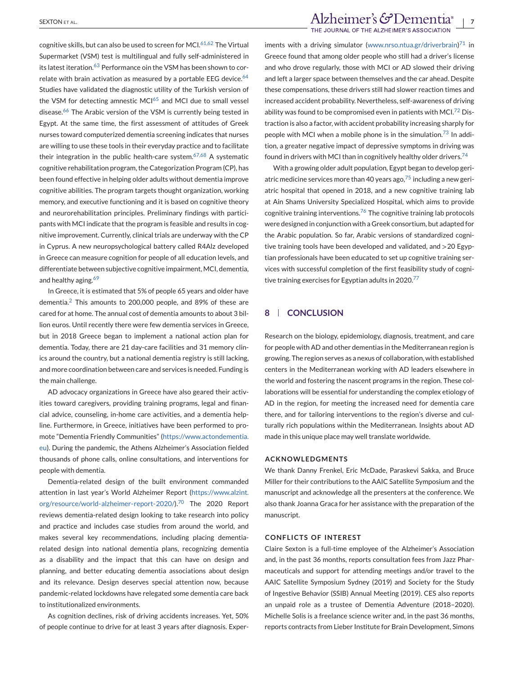cognitive skills, but can also be used to screen for MCI.  $61,62$  The Virtual Supermarket (VSM) test is multilingual and fully self-administered in its latest iteration.<sup>[63](#page-11-0)</sup> Performance oin the VSM has been shown to correlate with brain activation as measured by a portable EEG device. $64$ Studies have validated the diagnostic utility of the Turkish version of the VSM for detecting amnestic MC $1^{65}$  $1^{65}$  $1^{65}$  and MCI due to small vessel disease.<sup>[66](#page-11-0)</sup> The Arabic version of the VSM is currently being tested in Egypt. At the same time, the first assessment of attitudes of Greek nurses toward computerized dementia screening indicates that nurses are willing to use these tools in their everyday practice and to facilitate their integration in the public health-care system.<sup>[67,68](#page-11-0)</sup> A systematic cognitive rehabilitation program, the Categorization Program (CP), has been found effective in helping older adults without dementia improve cognitive abilities. The program targets thought organization, working memory, and executive functioning and it is based on cognitive theory and neurorehabilitation principles. Preliminary findings with participants with MCI indicate that the program is feasible and results in cognitive improvement. Currently, clinical trials are underway with the CP in Cyprus. A new neuropsychological battery called R4Alz developed in Greece can measure cognition for people of all education levels, and differentiate between subjective cognitive impairment, MCI, dementia, and healthy aging.<sup>69</sup>

In Greece, it is estimated that 5% of people 65 years and older have dementia.[2](#page-9-0) This amounts to 200,000 people, and 89% of these are cared for at home. The annual cost of dementia amounts to about 3 billion euros. Until recently there were few dementia services in Greece, but in 2018 Greece began to implement a national action plan for dementia. Today, there are 21 day-care facilities and 31 memory clinics around the country, but a national dementia registry is still lacking, and more coordination between care and services is needed. Funding is the main challenge.

AD advocacy organizations in Greece have also geared their activities toward caregivers, providing training programs, legal and financial advice, counseling, in-home care activities, and a dementia helpline. Furthermore, in Greece, initiatives have been performed to promote "Dementia Friendly Communities" [\(https://www.actondementia.](https://www.actondementia.eu) [eu\)](https://www.actondementia.eu). During the pandemic, the Athens Alzheimer's Association fielded thousands of phone calls, online consultations, and interventions for people with dementia.

Dementia-related design of the built environment commanded attention in last year's World Alzheimer Report [\(https://www.alzint.](https://www.alzint.org/resource/world-alzheimer-report-2020/) [org/resource/world-alzheimer-report-2020/\)](https://www.alzint.org/resource/world-alzheimer-report-2020/).[70](#page-11-0) The 2020 Report reviews dementia-related design looking to take research into policy and practice and includes case studies from around the world, and makes several key recommendations, including placing dementiarelated design into national dementia plans, recognizing dementia as a disability and the impact that this can have on design and planning, and better educating dementia associations about design and its relevance. Design deserves special attention now, because pandemic-related lockdowns have relegated some dementia care back to institutionalized environments.

As cognition declines, risk of driving accidents increases. Yet, 50% of people continue to drive for at least 3 years after diagnosis. Exper-

## SEXTON ET AL.<br>THE JOURNAL OF THE ALZHEIMER'S ASSOCIATION<br>THE JOURNAL OF THE ALZHEIMER'S ASSOCIATION

iments with a driving simulator [\(www.nrso.ntua.gr/driverbrain\)](https://www.nrso.ntua.gr/driverbrain) $71$  in Greece found that among older people who still had a driver's license and who drove regularly, those with MCI or AD slowed their driving and left a larger space between themselves and the car ahead. Despite these compensations, these drivers still had slower reaction times and increased accident probability. Nevertheless, self-awareness of driving ability was found to be compromised even in patients with MCI.<sup>[72](#page-11-0)</sup> Distraction is also a factor, with accident probability increasing sharply for people with MCI when a mobile phone is in the simulation.<sup>[73](#page-11-0)</sup> In addition, a greater negative impact of depressive symptoms in driving was found in drivers with MCI than in cognitively healthy older drivers.[74](#page-11-0)

With a growing older adult population, Egypt began to develop geriatric medicine services more than 40 years ago,  $75$  including a new geriatric hospital that opened in 2018, and a new cognitive training lab at Ain Shams University Specialized Hospital, which aims to provide cognitive training interventions.<sup>[76](#page-11-0)</sup> The cognitive training lab protocols were designed in conjunction with a Greek consortium, but adapted for the Arabic population. So far, Arabic versions of standardized cognitive training tools have been developed and validated, and >20 Egyptian professionals have been educated to set up cognitive training services with successful completion of the first feasibility study of cogni-tive training exercises for Egyptian adults in 2020.<sup>[77](#page-11-0)</sup>

## **8 CONCLUSION**

Research on the biology, epidemiology, diagnosis, treatment, and care for people with AD and other dementias in the Mediterranean region is growing. The region serves as a nexus of collaboration, with established centers in the Mediterranean working with AD leaders elsewhere in the world and fostering the nascent programs in the region. These collaborations will be essential for understanding the complex etiology of AD in the region, for meeting the increased need for dementia care there, and for tailoring interventions to the region's diverse and culturally rich populations within the Mediterranean. Insights about AD made in this unique place may well translate worldwide.

#### **ACKNOWLEDGMENTS**

We thank Danny Frenkel, Eric McDade, Paraskevi Sakka, and Bruce Miller for their contributions to the AAIC Satellite Symposium and the manuscript and acknowledge all the presenters at the conference. We also thank Joanna Graca for her assistance with the preparation of the manuscript.

#### **CONFLICTS OF INTEREST**

Claire Sexton is a full-time employee of the Alzheimer's Association and, in the past 36 months, reports consultation fees from Jazz Pharmaceuticals and support for attending meetings and/or travel to the AAIC Satellite Symposium Sydney (2019) and Society for the Study of Ingestive Behavior (SSIB) Annual Meeting (2019). CES also reports an unpaid role as a trustee of Dementia Adventure (2018–2020). Michelle Solis is a freelance science writer and, in the past 36 months, reports contracts from Lieber Institute for Brain Development, Simons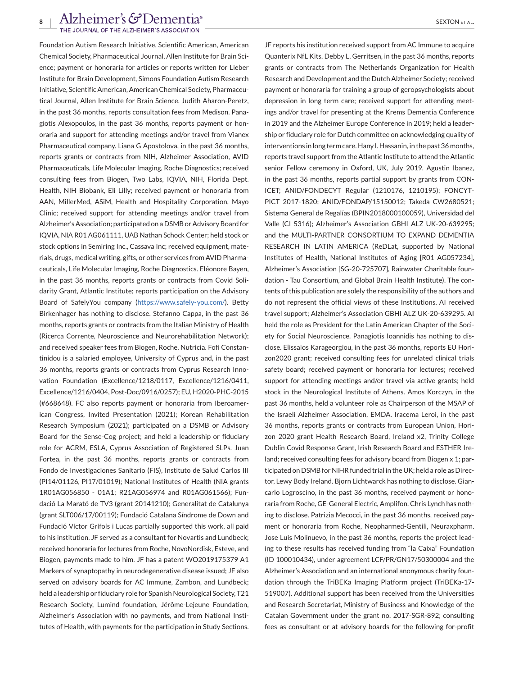Foundation Autism Research Initiative, Scientific American, American Chemical Society, Pharmaceutical Journal, Allen Institute for Brain Science; payment or honoraria for articles or reports written for Lieber Institute for Brain Development, Simons Foundation Autism Research Initiative, Scientific American, American Chemical Society, Pharmaceutical Journal, Allen Institute for Brain Science. Judith Aharon-Peretz, in the past 36 months, reports consultation fees from Medison. Panagiotis Alexopoulos, in the past 36 months, reports payment or honoraria and support for attending meetings and/or travel from Vianex Pharmaceutical company. Liana G Apostolova, in the past 36 months, reports grants or contracts from NIH, Alzheimer Association, AVID Pharmaceuticals, Life Molecular Imaging, Roche Diagnostics; received consulting fees from Biogen, Two Labs, IQVIA, NIH, Florida Dept. Health, NIH Biobank, Eli Lilly; received payment or honoraria from AAN, MillerMed, ASiM, Health and Hospitality Corporation, Mayo Clinic; received support for attending meetings and/or travel from Alzheimer's Association; participated on a DSMB or Advisory Board for IQVIA, NIA R01 AG061111, UAB Nathan Schock Center; held stock or stock options in Semiring Inc., Cassava Inc; received equipment, materials, drugs, medical writing, gifts, or other services from AVID Pharmaceuticals, Life Molecular Imaging, Roche Diagnostics. Eléonore Bayen, in the past 36 months, reports grants or contracts from Covid Solidarity Grant, Atlantic Institute; reports participation on the Advisory Board of SafelyYou company [\(https://www.safely-you.com/\)](https://www.safely-you.com/). Betty Birkenhager has nothing to disclose. Stefanno Cappa, in the past 36 months, reports grants or contracts from the Italian Ministry of Health (Ricerca Corrente, Neuroscience and Neurorehabilitation Network); and received speaker fees from Biogen, Roche, Nutricia. Fofi Constantinidou is a salaried employee, University of Cyprus and, in the past 36 months, reports grants or contracts from Cyprus Research Innovation Foundation (Excellence/1218/0117, Excellence/1216/0411, Excellence/1216/0404, Post-Doc/0916/0257); EU, H2020-PHC-2015 (#668648). FC also reports payment or honoraria from Iberoamerican Congress, Invited Presentation (2021); Korean Rehabilitation Research Symposium (2021); participated on a DSMB or Advisory Board for the Sense-Cog project; and held a leadership or fiduciary role for ACRM, ESLA, Cyprus Association of Registered SLPs. Juan Fortea, in the past 36 months, reports grants or contracts from Fondo de Investigaciones Sanitario (FIS), Instituto de Salud Carlos III (PI14/01126, PI17/01019); National Institutes of Health (NIA grants 1R01AG056850 - 01A1; R21AG056974 and R01AG061566); Fundació La Marató de TV3 (grant 20141210); Generalitat de Catalunya (grant SLT006/17/00119); Fundació Catalana Síndrome de Down and Fundació Víctor Grífols i Lucas partially supported this work, all paid to his institution. JF served as a consultant for Novartis and Lundbeck; received honoraria for lectures from Roche, NovoNordisk, Esteve, and Biogen, payments made to him. JF has a patent WO2019175379 A1 Markers of synaptopathy in neurodegenerative disease issued; JF also served on advisory boards for AC Immune, Zambon, and Lundbeck; held a leadership or fiduciary role for Spanish Neurological Society, T21 Research Society, Lumind foundation, Jérôme-Lejeune Foundation, Alzheimer's Association with no payments, and from National Institutes of Health, with payments for the participation in Study Sections.

JF reports his institution received support from AC Immune to acquire Quanterix NfL Kits. Debby L. Gerritsen, in the past 36 months, reports grants or contracts from The Netherlands Organization for Health Research and Development and the Dutch Alzheimer Society; received payment or honoraria for training a group of geropsychologists about depression in long term care; received support for attending meetings and/or travel for presenting at the Krems Dementia Conference in 2019 and the Alzheimer Europe Conference in 2019; held a leadership or fiduciary role for Dutch committee on acknowledging quality of interventions in long term care. Hany I. Hassanin, in the past 36 months, reports travel support from the Atlantic Institute to attend the Atlantic senior Fellow ceremony in Oxford, UK, July 2019. Agustin Ibanez, in the past 36 months, reports partial support by grants from CON-ICET; ANID/FONDECYT Regular (1210176, 1210195); FONCYT-PICT 2017-1820; ANID/FONDAP/15150012; Takeda CW2680521; Sistema General de Regalías (BPIN2018000100059), Universidad del Valle (CI 5316); Alzheimer's Association GBHI ALZ UK-20-639295; and the MULTI-PARTNER CONSORTIUM TO EXPAND DEMENTIA RESEARCH IN LATIN AMERICA (ReDLat, supported by National Institutes of Health, National Institutes of Aging [R01 AG057234], Alzheimer's Association [SG-20-725707], Rainwater Charitable foundation - Tau Consortium, and Global Brain Health Institute). The contents of this publication are solely the responsibility of the authors and do not represent the official views of these Institutions. AI received travel support; Alzheimer's Association GBHI ALZ UK-20-639295. AI held the role as President for the Latin American Chapter of the Society for Social Neuroscience. Panagiotis Ioannidis has nothing to disclose. Elissaios Karageorgiou, in the past 36 months, reports EU Horizon2020 grant; received consulting fees for unrelated clinical trials safety board; received payment or honoraria for lectures; received support for attending meetings and/or travel via active grants; held stock in the Neurological Institute of Athens. Amos Korczyn, in the past 36 months, held a volunteer role as Chairperson of the MSAP of the Israeli Alzheimer Association, EMDA. Iracema Leroi, in the past 36 months, reports grants or contracts from European Union, Horizon 2020 grant Health Research Board, Ireland x2, Trinity College Dublin Covid Response Grant, Irish Research Board and ESTHER Ireland; received consulting fees for advisory board from Biogen x 1; participated on DSMB for NIHR funded trial in the UK; held a role as Director, Lewy Body Ireland. Bjorn Lichtwarck has nothing to disclose. Giancarlo Logroscino, in the past 36 months, received payment or honoraria from Roche, GE-General Electric, Amplifon. Chris Lynch has nothing to disclose. Patrizia Mecocci, in the past 36 months, received payment or honoraria from Roche, Neopharmed-Gentili, Neuraxpharm. Jose Luis Molinuevo, in the past 36 months, reports the project leading to these results has received funding from "la Caixa" Foundation (ID 100010434), under agreement LCF/PR/GN17/50300004 and the Alzheimer's Association and an international anonymous charity foundation through the TriBEKa Imaging Platform project (TriBEKa-17- 519007). Additional support has been received from the Universities and Research Secretariat, Ministry of Business and Knowledge of the Catalan Government under the grant no. 2017-SGR-892; consulting fees as consultant or at advisory boards for the following for-profit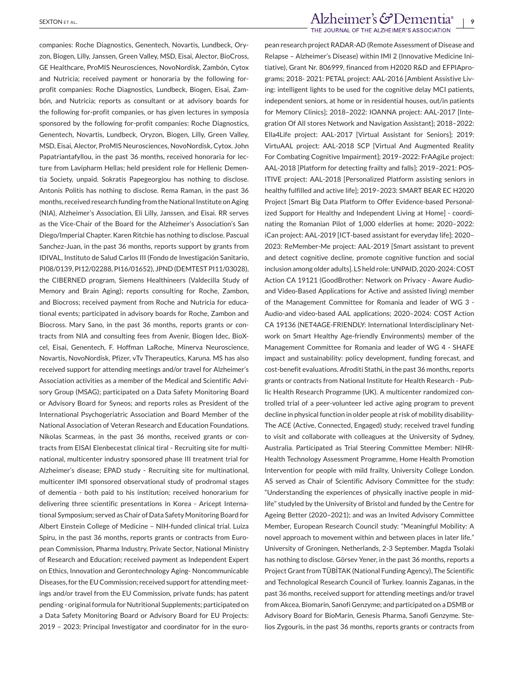companies: Roche Diagnostics, Genentech, Novartis, Lundbeck, Oryzon, Biogen, Lilly, Janssen, Green Valley, MSD, Eisai, Alector, BioCross, GE Healthcare, ProMIS Neurosciences, NovoNordisk, Zambón, Cytox and Nutricia; received payment or honoraria by the following forprofit companies: Roche Diagnostics, Lundbeck, Biogen, Eisai, Zambón, and Nutricia; reports as consultant or at advisory boards for the following for-profit companies, or has given lectures in symposia sponsored by the following for-profit companies: Roche Diagnostics, Genentech, Novartis, Lundbeck, Oryzon, Biogen, Lilly, Green Valley, MSD, Eisai, Alector, ProMIS Neurosciences, NovoNordisk, Cytox. John Papatriantafyllou, in the past 36 months, received honoraria for lecture from Lavipharm Hellas; held president role for Hellenic Dementia Society, unpaid. Sokratis Papegeorgiou has nothing to disclose. Antonis Politis has nothing to disclose. Rema Raman, in the past 36 months, received research funding from the National Institute on Aging (NIA), Alzheimer's Association, Eli Lilly, Janssen, and Eisai. RR serves as the Vice-Chair of the Board for the Alzheimer's Association's San Diego/Imperial Chapter. Karen Ritchie has nothing to disclose. Pascual Sanchez-Juan, in the past 36 months, reports support by grants from IDIVAL, Instituto de Salud Carlos III (Fondo de Investigación Sanitario, PI08/0139, PI12/02288, PI16/01652), JPND (DEMTEST PI11/03028), the CIBERNED program, Siemens Healthineers (Valdecilla Study of Memory and Brain Aging); reports consulting for Roche, Zambon, and Biocross; received payment from Roche and Nutricia for educational events; participated in advisory boards for Roche, Zambon and Biocross. Mary Sano, in the past 36 months, reports grants or contracts from NIA and consulting fees from Avenir, Biogen Idec, BioXcel, Eisai, Genentech, F. Hoffman LaRoche, Minerva Neuroscience, Novartis, NovoNordisk, Pfizer, vTv Therapeutics, Karuna. MS has also received support for attending meetings and/or travel for Alzheimer's Association activities as a member of the Medical and Scientific Advisory Group (MSAG); participated on a Data Safety Monitoring Board or Advisory Board for Syneos; and reports roles as President of the International Psychogeriatric Association and Board Member of the National Association of Veteran Research and Education Foundations. Nikolas Scarmeas, in the past 36 months, received grants or contracts from EISAI Elenbecestat clinical tiral - Recruiting site for multinational, multicenter industry sponsored phase III treatment trial for Alzheimer's disease; EPAD study - Recruiting site for multinational, multicenter IMI sponsored observational study of prodromal stages of dementia - both paid to his institution; received honorarium for delivering three scientific presentations in Korea - Aricept International Symposium; served as Chair of Data Safety Monitoring Board for Albert Einstein College of Medicine – NIH-funded clinical trial. Luiza Spiru, in the past 36 months, reports grants or contracts from European Commission, Pharma Industry, Private Sector, National Ministry of Research and Education; received payment as Independent Expert on Ethics, Innovation and Gerontechnology Aging- Noncommunicable Diseases, for the EU Commission; received support for attending meetings and/or travel from the EU Commission, private funds; has patent pending - original formula for Nutritional Supplements; participated on a Data Safety Monitoring Board or Advisory Board for EU Projects: 2019 – 2023: Principal Investigator and coordinator for in the euro-

# SEXTON ET AL.<br>THE JOURNAL OF THE ALZHEIMER'S ASSOCIATION

pean research project RADAR-AD (Remote Assessment of Disease and Relapse – Alzheimer's Disease) within IMI 2 (Innovative Medicine Initiative), Grant Nr. 806999, financed from H2020 R&D and EFPIAprograms; 2018- 2021: PETAL project: AAL-2016 [Ambient Assistive Living: intelligent lights to be used for the cognitive delay MCI patients, independent seniors, at home or in residential houses, out/in patients for Memory Clinics]; 2018–2022: IOANNA project: AAL-2017 [Integration Of All stores Network and Navigation Assistant]; 2018–2022: Ella4Life project: AAL-2017 [Virtual Assistant for Seniors]; 2019: VirtuAAL project: AAL-2018 SCP [Virtual And Augmented Reality For Combating Cognitive Impairment]; 2019–2022: FrAAgiLe project: AAL-2018 [Platform for detecting frailty and falls]; 2019–2021: POS-ITIVE project: AAL-2018 [Personalized Platform assisting seniors in healthy fulfilled and active life]; 2019–2023: SMART BEAR EC H2020 Project [Smart Big Data Platform to Offer Evidence-based Personalized Support for Healthy and Independent Living at Home] - coordinating the Romanian Pilot of 1,000 elderlies at home; 2020–2022: iCan project: AAL-2019 [ICT-based assistant for everyday life]; 2020– 2023: ReMember-Me project: AAL-2019 [Smart assistant to prevent and detect cognitive decline, promote cognitive function and social inclusion among older adults]. LS held role: UNPAID, 2020-2024: COST Action CA 19121 (GoodBrother: Network on Privacy - Aware Audioand Video-Based Applications for Active and assisted living) member of the Management Committee for Romania and leader of WG 3 - Audio-and video-based AAL applications; 2020–2024: COST Action CA 19136 (NET4AGE-FRIENDLY: International Interdisciplinary Network on Smart Healthy Age-friendly Environments) member of the Management Committee for Romania and leader of WG 4 - SHAFE impact and sustainability: policy development, funding forecast, and cost-benefit evaluations. Afroditi Stathi, in the past 36 months, reports grants or contracts from National Institute for Health Research - Public Health Research Programme (UK). A multicenter randomized controlled trial of a peer-volunteer led active aging program to prevent decline in physical function in older people at risk of mobility disability-The ACE (Active, Connected, Engaged) study; received travel funding to visit and collaborate with colleagues at the University of Sydney, Australia. Participated as Trial Steering Committee Member: NIHR-Health Technology Assessment Programme, Home Health Promotion Intervention for people with mild frailty, University College London. AS served as Chair of Scientific Advisory Committee for the study: "Understanding the experiences of physically inactive people in midlife" studyled by the University of Bristol and funded by the Centre for Ageing Better (2020–2021); and was an Invited Advisory Committee Member, European Research Council study: "Meaningful Mobility: A novel approach to movement within and between places in later life." University of Groningen, Netherlands, 2-3 September. Magda Tsolaki has nothing to disclose. Görsev Yener, in the past 36 months, reports a Project Grant from TÜBİTAK (National Funding Agency), The Scientific and Technological Research Council of Turkey. Ioannis Zaganas, in the past 36 months, received support for attending meetings and/or travel from Akcea, Biomarin, Sanofi Genzyme; and participated on a DSMB or Advisory Board for BioMarin, Genesis Pharma, Sanofi Genzyme. Stelios Zygouris, in the past 36 months, reports grants or contracts from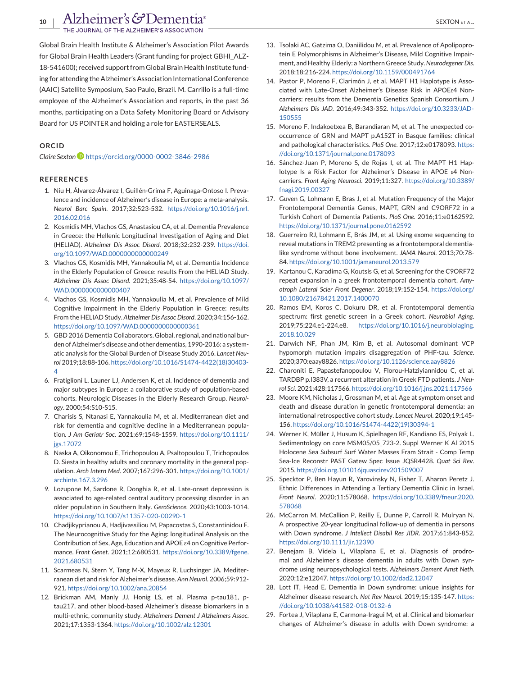<span id="page-9-0"></span>10 | Alzheimer's GDementia<sup>®</sup><br>The JOURNAL OF THE ALZHEIMER'S ASSOCIATION

Global Brain Health Institute & Alzheimer's Association Pilot Awards for Global Brain Health Leaders (Grant funding for project GBHIfor Global Brain Health Leaders (Grant funding for project GBHI\_ALZ-<br>18-541600); received support from Global Brain Health Institute funding for attending the Alzheimer's Association International Conference (AAIC) Satellite Symposium, Sao Paulo, Brazil. M. Carrillo is a full-time employee of the Alzheimer's Association and reports, in the past 36 months, participating on a Data Safety Monitoring Board or Advisory Board for US POINTER and holding a role for EASTERSEALS.

#### **ORCID**

*Claire Sexton* <https://orcid.org/0000-0002-3846-2986>

#### **REFERENCES**

- 1. Niu H, Álvarez-Álvarez I, Guillén-Grima F, Aguinaga-Ontoso I. Prevalence and incidence of Alzheimer's disease in Europe: a meta-analysis. *Neurol Barc Spain*. 2017;32:523-532. [https://doi.org/10.1016/j.nrl.](https://doi.org/10.1016/j.nrl.2016.02.016) [2016.02.016](https://doi.org/10.1016/j.nrl.2016.02.016)
- 2. Kosmidis MH, Vlachos GS, Anastasiou CA, et al. Dementia Prevalence in Greece: the Hellenic Longitudinal Investigation of Aging and Diet (HELIAD). *Alzheimer Dis Assoc Disord*. 2018;32:232-239. [https://doi.](https://doi.org/10.1097/WAD.0000000000000249) [org/10.1097/WAD.0000000000000249](https://doi.org/10.1097/WAD.0000000000000249)
- 3. Vlachos GS, Kosmidis MH, Yannakoulia M, et al. Dementia Incidence in the Elderly Population of Greece: results From the HELIAD Study. *Alzheimer Dis Assoc Disord*. 2021;35:48-54. [https://doi.org/10.1097/](https://doi.org/10.1097/WAD.0000000000000407) [WAD.0000000000000407](https://doi.org/10.1097/WAD.0000000000000407)
- 4. Vlachos GS, Kosmidis MH, Yannakoulia M, et al. Prevalence of Mild Cognitive Impairment in the Elderly Population in Greece: results From the HELIAD Study. *Alzheimer Dis Assoc Disord*. 2020;34:156-162. <https://doi.org/10.1097/WAD.0000000000000361>
- 5. GBD 2016 Dementia Collaborators. Global, regional, and national burden of Alzheimer's disease and other dementias, 1990-2016: a systematic analysis for the Global Burden of Disease Study 2016. *Lancet Neurol* 2019;18:88-106. [https://doi.org/10.1016/S1474-4422\(18\)30403-](https://doi.org/10.1016/S1474-4422(18)30403-4) [4](https://doi.org/10.1016/S1474-4422(18)30403-4)
- 6. Fratiglioni L, Launer LJ, Andersen K, et al. Incidence of dementia and major subtypes in Europe: a collaborative study of population-based cohorts. Neurologic Diseases in the Elderly Research Group. *Neurology*. 2000;54:S10-S15.
- 7. Charisis S, Ntanasi E, Yannakoulia M, et al. Mediterranean diet and risk for dementia and cognitive decline in a Mediterranean population. *J Am Geriatr Soc*. 2021;69:1548-1559. [https://doi.org/10.1111/](https://doi.org/10.1111/jgs.17072) [jgs.17072](https://doi.org/10.1111/jgs.17072)
- 8. Naska A, Oikonomou E, Trichopoulou A, Psaltopoulou T, Trichopoulos D. Siesta in healthy adults and coronary mortality in the general population. *Arch Intern Med*. 2007;167:296-301. [https://doi.org/10.1001/](https://doi.org/10.1001/archinte.167.3.296) [archinte.167.3.296](https://doi.org/10.1001/archinte.167.3.296)
- 9. Lozupone M, Sardone R, Donghia R, et al. Late-onset depression is associated to age-related central auditory processing disorder in an older population in Southern Italy. *GeroScience*. 2020;43:1003-1014. <https://doi.org/10.1007/s11357-020-00290-1>
- 10. Chadjikyprianou A, Hadjivassiliou M, Papacostas S, Constantinidou F. The Neurocognitive Study for the Aging: longitudinal Analysis on the Contribution of Sex, Age, Education and APOE ɛ4 on Cognitive Performance. *Front Genet*. 2021;12:680531. [https://doi.org/10.3389/fgene.](https://doi.org/10.3389/fgene.2021.680531) [2021.680531](https://doi.org/10.3389/fgene.2021.680531)
- 11. Scarmeas N, Stern Y, Tang M-X, Mayeux R, Luchsinger JA. Mediterranean diet and risk for Alzheimer's disease. *Ann Neurol*. 2006;59:912- 921. <https://doi.org/10.1002/ana.20854>
- 12. Brickman AM, Manly JJ, Honig LS, et al. Plasma p-tau181, ptau217, and other blood-based Alzheimer's disease biomarkers in a multi-ethnic, community study. *Alzheimers Dement J Alzheimers Assoc*. 2021;17:1353-1364. <https://doi.org/10.1002/alz.12301>
- 13. Tsolaki AC, Gatzima O, Daniilidou M, et al. Prevalence of Apolipoprotein E Polymorphisms in Alzheimer's Disease, Mild Cognitive Impairment, and Healthy Elderly: a Northern Greece Study.*Neurodegener Dis*. 2018;18:216-224. <https://doi.org/10.1159/000491764>
- 14. Pastor P, Moreno F, Clarimón J, et al. MAPT H1 Haplotype is Associated with Late-Onset Alzheimer's Disease Risk in APOEɛ4 Noncarriers: results from the Dementia Genetics Spanish Consortium. *J Alzheimers Dis JAD*. 2016;49:343-352. [https://doi.org/10.3233/JAD-](https://doi.org/10.3233/JAD-150555)[150555](https://doi.org/10.3233/JAD-150555)
- 15. Moreno F, Indakoetxea B, Barandiaran M, et al. The unexpected cooccurrence of GRN and MAPT p.A152T in Basque families: clinical and pathological characteristics. *PloS One*. 2017;12:e0178093. [https:](https://doi.org/10.1371/journal.pone.0178093) [//doi.org/10.1371/journal.pone.0178093](https://doi.org/10.1371/journal.pone.0178093)
- 16. Sánchez-Juan P, Moreno S, de Rojas I, et al. The MAPT H1 Haplotype Is a Risk Factor for Alzheimer's Disease in APOE *ε*4 Noncarriers. *Front Aging Neurosci*. 2019;11:327. [https://doi.org/10.3389/](https://doi.org/10.3389/fnagi.2019.00327) [fnagi.2019.00327](https://doi.org/10.3389/fnagi.2019.00327)
- 17. Guven G, Lohmann E, Bras J, et al. Mutation Frequency of the Major Frontotemporal Dementia Genes, MAPT, GRN and C9ORF72 in a Turkish Cohort of Dementia Patients. *PloS One*. 2016;11:e0162592. <https://doi.org/10.1371/journal.pone.0162592>
- 18. Guerreiro RJ, Lohmann E, Brás JM, et al. Using exome sequencing to reveal mutations in TREM2 presenting as a frontotemporal dementialike syndrome without bone involvement. *JAMA Neurol*. 2013;70:78- 84. <https://doi.org/10.1001/jamaneurol.2013.579>
- 19. Kartanou C, Karadima G, Koutsis G, et al. Screening for the C9ORF72 repeat expansion in a greek frontotemporal dementia cohort. *Amyotroph Lateral Scler Front Degener*. 2018;19:152-154. [https://doi.org/](https://doi.org/10.1080/21678421.2017.1400070) [10.1080/21678421.2017.1400070](https://doi.org/10.1080/21678421.2017.1400070)
- 20. Ramos EM, Koros C, Dokuru DR, et al. Frontotemporal dementia spectrum: first genetic screen in a Greek cohort. *Neurobiol Aging*. 2019;75:224.e1-224.e8. [https://doi.org/10.1016/j.neurobiolaging.](https://doi.org/10.1016/j.neurobiolaging.2018.10.029) [2018.10.029](https://doi.org/10.1016/j.neurobiolaging.2018.10.029)
- 21. Darwich NF, Phan JM, Kim B, et al. Autosomal dominant VCP hypomorph mutation impairs disaggregation of PHF-tau. *Science*. 2020;370:eaay8826. <https://doi.org/10.1126/science.aay8826>
- 22. Charoniti E, Papastefanopoulou V, Florou-Hatziyiannidou C, et al. TARDBP p.I383V, a recurrent alteration in Greek FTD patients. *J Neurol Sci*. 2021;428:117566. <https://doi.org/10.1016/j.jns.2021.117566>
- 23. Moore KM, Nicholas J, Grossman M, et al. Age at symptom onset and death and disease duration in genetic frontotemporal dementia: an international retrospective cohort study. *Lancet Neurol*. 2020;19:145- 156. [https://doi.org/10.1016/S1474-4422\(19\)30394-1](https://doi.org/10.1016/S1474-4422(19)30394-1)
- 24. Werner K, Müller J, Husum K, Spielhagen RF, Kandiano ES, Polyak L. Sedimentology on core MSM05/05\_723-2. Suppl Werner K Al 2015 Holocene Sea Subsurf Surf Water Masses Fram Strait - Comp Temp Sea-Ice Reconstr PAST Gatew Spec Issue JQSR4428. *Quat Sci Rev*. 2015. <https://doi.org.101016jquascirev201509007>
- 25. Specktor P, Ben Hayun R, Yarovinsky N, Fisher T, Aharon Peretz J. Ethnic Differences in Attending a Tertiary Dementia Clinic in Israel. *Front Neurol*. 2020;11:578068. [https://doi.org/10.3389/fneur.2020.](https://doi.org/10.3389/fneur.2020.578068) [578068](https://doi.org/10.3389/fneur.2020.578068)
- 26. McCarron M, McCallion P, Reilly E, Dunne P, Carroll R, Mulryan N. A prospective 20-year longitudinal follow-up of dementia in persons with Down syndrome. *J Intellect Disabil Res JIDR*. 2017;61:843-852. <https://doi.org/10.1111/jir.12390>
- 27. Benejam B, Videla L, Vilaplana E, et al. Diagnosis of prodromal and Alzheimer's disease dementia in adults with Down syndrome using neuropsychological tests. *Alzheimers Dement Amst Neth*. 2020;12:e12047. <https://doi.org/10.1002/dad2.12047>
- 28. Lott IT, Head E. Dementia in Down syndrome: unique insights for Alzheimer disease research. *Nat Rev Neurol*. 2019;15:135-147. [https:](https://doi.org/10.1038/s41582-018-0132-6) [//doi.org/10.1038/s41582-018-0132-6](https://doi.org/10.1038/s41582-018-0132-6)
- 29. Fortea J, Vilaplana E, Carmona-Iragui M, et al. Clinical and biomarker changes of Alzheimer's disease in adults with Down syndrome: a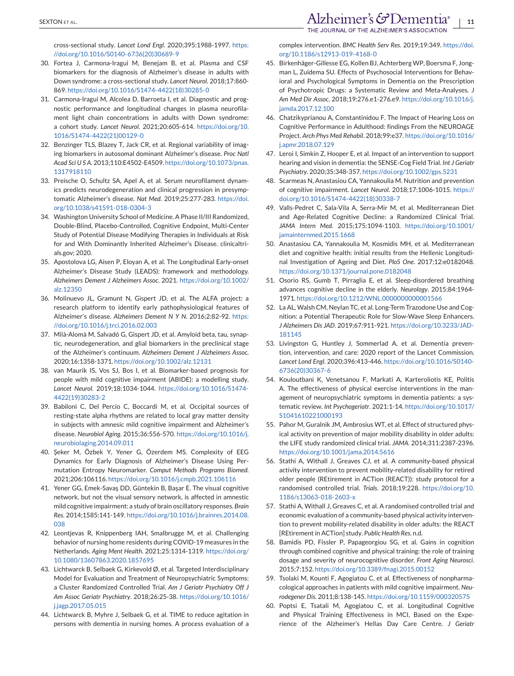<span id="page-10-0"></span>cross-sectional study. *Lancet Lond Engl*. 2020;395:1988-1997. [https:](https://doi.org/10.1016/S0140-6736(20)30689-9) [//doi.org/10.1016/S0140-6736\(20\)30689-9](https://doi.org/10.1016/S0140-6736(20)30689-9)

- 30. Fortea J, Carmona-Iragui M, Benejam B, et al. Plasma and CSF biomarkers for the diagnosis of Alzheimer's disease in adults with Down syndrome: a cross-sectional study. *Lancet Neurol*. 2018;17:860- 869. [https://doi.org/10.1016/S1474-4422\(18\)30285-0](https://doi.org/10.1016/S1474-4422(18)30285-0)
- 31. Carmona-Iragui M, Alcolea D, Barroeta I, et al. Diagnostic and prognostic performance and longitudinal changes in plasma neurofilament light chain concentrations in adults with Down syndrome: a cohort study. *Lancet Neurol*. 2021;20:605-614. [https://doi.org/10.](https://doi.org/10.1016/S1474-4422(21)00129-0) [1016/S1474-4422\(21\)00129-0](https://doi.org/10.1016/S1474-4422(21)00129-0)
- 32. Benzinger TLS, Blazey T, Jack CR, et al. Regional variability of imaging biomarkers in autosomal dominant Alzheimer's disease. *Proc Natl Acad Sci U S A*. 2013;110:E4502-E4509. [https://doi.org/10.1073/pnas.](https://doi.org/10.1073/pnas.1317918110) [1317918110](https://doi.org/10.1073/pnas.1317918110)
- 33. Preische O, Schultz SA, Apel A, et al. Serum neurofilament dynamics predicts neurodegeneration and clinical progression in presymptomatic Alzheimer's disease. *Nat Med*. 2019;25:277-283. [https://doi.](https://doi.org/10.1038/s41591-018-0304-3) [org/10.1038/s41591-018-0304-3](https://doi.org/10.1038/s41591-018-0304-3)
- 34. Washington University School of Medicine. A Phase II/III Randomized, Double-Blind, Placebo-Controlled, Cognitive Endpoint, Multi-Center Study of Potential Disease Modifying Therapies in Individuals at Risk for and With Dominantly Inherited Alzheimer's Disease. clinicaltrials.gov; 2020.
- 35. Apostolova LG, Aisen P, Eloyan A, et al. The Longitudinal Early-onset Alzheimer's Disease Study (LEADS): framework and methodology. *Alzheimers Dement J Alzheimers Assoc*. 2021. [https://doi.org/10.1002/](https://doi.org/10.1002/alz.12350) [alz.12350](https://doi.org/10.1002/alz.12350)
- 36. Molinuevo JL, Gramunt N, Gispert JD, et al. The ALFA project: a research platform to identify early pathophysiological features of Alzheimer's disease. *Alzheimers Dement N Y N*. 2016;2:82-92. [https:](https://doi.org/10.1016/j.trci.2016.02.003) [//doi.org/10.1016/j.trci.2016.02.003](https://doi.org/10.1016/j.trci.2016.02.003)
- 37. Milà-Alomà M, Salvadó G, Gispert JD, et al. Amyloid beta, tau, synaptic, neurodegeneration, and glial biomarkers in the preclinical stage of the Alzheimer's continuum. *Alzheimers Dement J Alzheimers Assoc*. 2020;16:1358-1371. <https://doi.org/10.1002/alz.12131>
- 38. van Maurik IS, Vos SJ, Bos I, et al. Biomarker-based prognosis for people with mild cognitive impairment (ABIDE): a modelling study. *Lancet Neurol*. 2019;18:1034-1044. [https://doi.org/10.1016/S1474-](https://doi.org/10.1016/S1474-4422(19)30283-2) [4422\(19\)30283-2](https://doi.org/10.1016/S1474-4422(19)30283-2)
- 39. Babiloni C, Del Percio C, Boccardi M, et al. Occipital sources of resting-state alpha rhythms are related to local gray matter density in subjects with amnesic mild cognitive impairment and Alzheimer's disease. *Neurobiol Aging*. 2015;36:556-570. [https://doi.org/10.1016/j.](https://doi.org/10.1016/j.neurobiolaging.2014.09.011) [neurobiolaging.2014.09.011](https://doi.org/10.1016/j.neurobiolaging.2014.09.011)
- 40. Şeker M, Özbek Y, Yener G, Özerdem MS. Complexity of EEG Dynamics for Early Diagnosis of Alzheimer's Disease Using Permutation Entropy Neuromarker. *Comput Methods Programs Biomed*. 2021;206:106116. <https://doi.org/10.1016/j.cmpb.2021.106116>
- 41. Yener GG, Emek-Savaş DD, Güntekin B, Başar E. The visual cognitive network, but not the visual sensory network, is affected in amnestic mild cognitive impairment: a study of brain oscillatory responses. *Brain Res*. 2014;1585:141-149. [https://doi.org/10.1016/j.brainres.2014.08.](https://doi.org/10.1016/j.brainres.2014.08.038) [038](https://doi.org/10.1016/j.brainres.2014.08.038)
- 42. Leontjevas R, Knippenberg IAH, Smalbrugge M, et al. Challenging behavior of nursing home residents during COVID-19 measures in the Netherlands. *Aging Ment Health*. 2021;25:1314-1319. [https://doi.org/](https://doi.org/10.1080/13607863.2020.1857695) [10.1080/13607863.2020.1857695](https://doi.org/10.1080/13607863.2020.1857695)
- 43. Lichtwarck B, Selbaek G, Kirkevold Ø, et al. Targeted Interdisciplinary Model for Evaluation and Treatment of Neuropsychiatric Symptoms: a Cluster Randomized Controlled Trial. *Am J Geriatr Psychiatry Off J Am Assoc Geriatr Psychiatry*. 2018;26:25-38. [https://doi.org/10.1016/](https://doi.org/10.1016/j.jagp.2017.05.015) [j.jagp.2017.05.015](https://doi.org/10.1016/j.jagp.2017.05.015)
- 44. Lichtwarck B, Myhre J, Selbaek G, et al. TIME to reduce agitation in persons with dementia in nursing homes. A process evaluation of a

complex intervention. *BMC Health Serv Res*. 2019;19:349. [https://doi.](https://doi.org/10.1186/s12913-019-4168-0) [org/10.1186/s12913-019-4168-0](https://doi.org/10.1186/s12913-019-4168-0)

- 45. Birkenhäger-Gillesse EG, Kollen BJ, Achterberg WP, Boersma F, Jongman L, Zuidema SU. Effects of Psychosocial Interventions for Behavioral and Psychological Symptoms in Dementia on the Prescription of Psychotropic Drugs: a Systematic Review and Meta-Analyses. *J Am Med Dir Assoc*. 2018;19:276.e1-276.e9. [https://doi.org/10.1016/j.](https://doi.org/10.1016/j.jamda.2017.12.100) [jamda.2017.12.100](https://doi.org/10.1016/j.jamda.2017.12.100)
- 46. Chatzikyprianou A, Constantinidou F. The Impact of Hearing Loss on Cognitive Performance in Adulthood: findings From the NEUROAGE Project. *Arch Phys Med Rehabil*. 2018;99:e37. [https://doi.org/10.1016/](https://doi.org/10.1016/j.apmr.2018.07.129) [j.apmr.2018.07.129](https://doi.org/10.1016/j.apmr.2018.07.129)
- 47. Leroi I, Simkin Z, Hooper E, et al. Impact of an intervention to support hearing and vision in dementia: the SENSE-Cog Field Trial. *Int J Geriatr Psychiatry*. 2020;35:348-357. <https://doi.org/10.1002/gps.5231>
- 48. Scarmeas N, Anastasiou CA, Yannakoulia M. Nutrition and prevention of cognitive impairment. *Lancet Neurol*. 2018;17:1006-1015. [https://](https://doi.org/10.1016/S1474-4422(18)30338-7) [doi.org/10.1016/S1474-4422\(18\)30338-7](https://doi.org/10.1016/S1474-4422(18)30338-7)
- 49. Valls-Pedret C, Sala-Vila A, Serra-Mir M, et al. Mediterranean Diet and Age-Related Cognitive Decline: a Randomized Clinical Trial. *JAMA Intern Med*. 2015;175:1094-1103. [https://doi.org/10.1001/](https://doi.org/10.1001/jamainternmed.2015.1668) [jamainternmed.2015.1668](https://doi.org/10.1001/jamainternmed.2015.1668)
- 50. Anastasiou CA, Yannakoulia M, Kosmidis MH, et al. Mediterranean diet and cognitive health: initial results from the Hellenic Longitudinal Investigation of Ageing and Diet. *PloS One*. 2017;12:e0182048. <https://doi.org/10.1371/journal.pone.0182048>
- 51. Osorio RS, Gumb T, Pirraglia E, et al. Sleep-disordered breathing advances cognitive decline in the elderly. *Neurology*. 2015;84:1964- 1971. <https://doi.org/10.1212/WNL.0000000000001566>
- 52. La AL, Walsh CM, Neylan TC, et al. Long-Term Trazodone Use and Cognition: a Potential Therapeutic Role for Slow-Wave Sleep Enhancers. *J Alzheimers Dis JAD*. 2019;67:911-921. [https://doi.org/10.3233/JAD-](https://doi.org/10.3233/JAD-181145)[181145](https://doi.org/10.3233/JAD-181145)
- 53. Livingston G, Huntley J, Sommerlad A, et al. Dementia prevention, intervention, and care: 2020 report of the Lancet Commission. *Lancet Lond Engl*. 2020;396:413-446. [https://doi.org/10.1016/S0140-](https://doi.org/10.1016/S0140-6736(20)30367-6) [6736\(20\)30367-6](https://doi.org/10.1016/S0140-6736(20)30367-6)
- 54. Kouloutbani K, Venetsanou F, Markati A, Karteroliotis KE, Politis A. The effectiveness of physical exercise interventions in the management of neuropsychiatric symptoms in dementia patients: a systematic review. *Int Psychogeriatr*. 2021:1-14. [https://doi.org/10.1017/](https://doi.org/10.1017/S1041610221000193) [S1041610221000193](https://doi.org/10.1017/S1041610221000193)
- 55. Pahor M, Guralnik JM, Ambrosius WT, et al. Effect of structured physical activity on prevention of major mobility disability in older adults: the LIFE study randomized clinical trial. *JAMA*. 2014;311:2387-2396. <https://doi.org/10.1001/jama.2014.5616>
- 56. Stathi A, Withall J, Greaves CJ, et al. A community-based physical activity intervention to prevent mobility-related disability for retired older people (REtirement in ACTion (REACT)): study protocol for a randomised controlled trial. *Trials*. 2018;19:228. [https://doi.org/10.](https://doi.org/10.1186/s13063-018-2603-x) [1186/s13063-018-2603-x](https://doi.org/10.1186/s13063-018-2603-x)
- 57. Stathi A, Withall J, Greaves C, et al. A randomised controlled trial and economic evaluation of a community-based physical activity intervention to prevent mobility-related disability in older adults: the REACT [REtirement in ACTion] study. *Public Health Res*. n.d.
- 58. Bamidis PD, Fissler P, Papageorgiou SG, et al. Gains in cognition through combined cognitive and physical training: the role of training dosage and severity of neurocognitive disorder. *Front Aging Neurosci*. 2015;7:152. <https://doi.org/10.3389/fnagi.2015.00152>
- 59. Tsolaki M, Kounti F, Agogiatou C, et al. Effectiveness of nonpharmacological approaches in patients with mild cognitive impairment. *Neurodegener Dis*. 2011;8:138-145. <https://doi.org/10.1159/000320575>
- 60. Poptsi E, Tsatali M, Agogiatou C, et al. Longitudinal Cognitive and Physical Training Effectiveness in MCI, Based on the Experience of the Alzheimer's Hellas Day Care Centre. *J Geriatr*